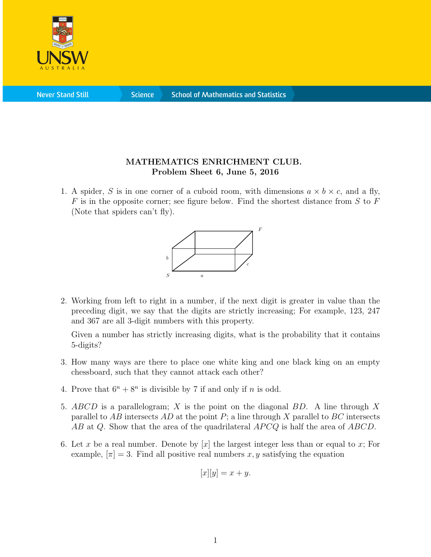

**Science** 

## MATHEMATICS ENRICHMENT CLUB. Problem Sheet 6, June 5, 2016

1. A spider, S is in one corner of a cuboid room, with dimensions  $a \times b \times c$ , and a fly,  $F$  is in the opposite corner; see figure below. Find the shortest distance from  $S$  to  $F$ (Note that spiders can't fly).



2. Working from left to right in a number, if the next digit is greater in value than the preceding digit, we say that the digits are strictly increasing; For example, 123, 247 and 367 are all 3-digit numbers with this property.

Given a number has strictly increasing digits, what is the probability that it contains 5-digits?

- 3. How many ways are there to place one white king and one black king on an empty chessboard, such that they cannot attack each other?
- 4. Prove that  $6^n + 8^n$  is divisible by 7 if and only if *n* is odd.
- 5. ABCD is a parallelogram; X is the point on the diagonal BD. A line through X parallel to AB intersects AD at the point  $P$ ; a line through X parallel to BC intersects  $AB$  at Q. Show that the area of the quadrilateral  $APCQ$  is half the area of  $ABCD$ .
- 6. Let x be a real number. Denote by  $[x]$  the largest integer less than or equal to x; For example,  $|\pi|=3$ . Find all positive real numbers x, y satisfying the equation

$$
[x][y] = x + y.
$$